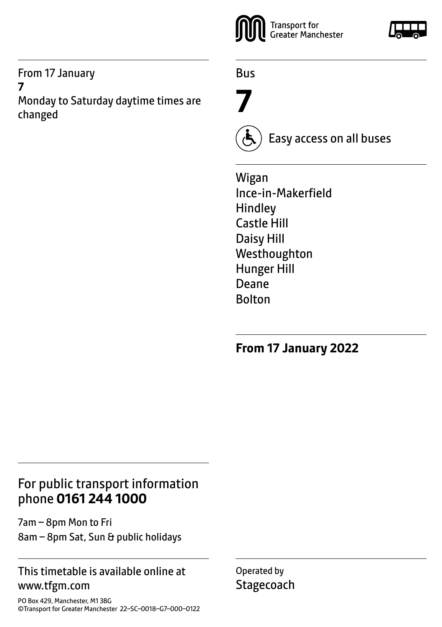From 17 January **7** Monday to Saturday daytime times are changed



Bus

**7**



Easy access on all buses

Wigan Ince-in-Makerfield Hindley Castle Hill Daisy Hill Westhoughton Hunger Hill Deane Bolton

**From 17 January 2022**

# For public transport information phone **0161 244 1000**

7am – 8pm Mon to Fri 8am – 8pm Sat, Sun & public holidays

### This timetable is available online at www.tfgm.com

PO Box 429, Manchester, M1 3BG ©Transport for Greater Manchester 22–SC–0018–G7–000–0122 Operated by **Stagecoach**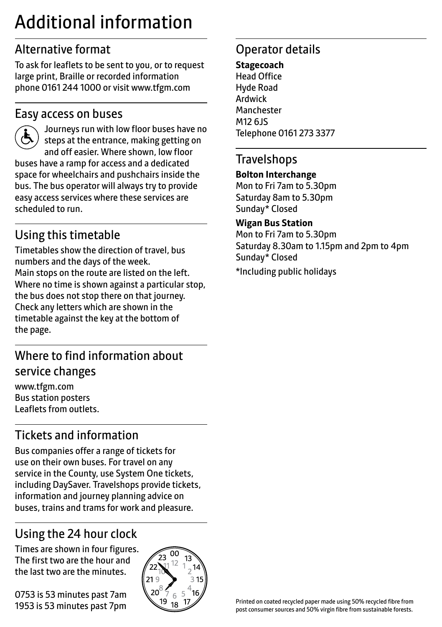# Additional information

# Alternative format

To ask for leaflets to be sent to you, or to request large print, Braille or recorded information phone 0161 244 1000 or visit www.tfgm.com

### Easy access on buses



 Journeys run with low floor buses have no steps at the entrance, making getting on and off easier. Where shown, low floor buses have a ramp for access and a dedicated space for wheelchairs and pushchairs inside the bus. The bus operator will always try to provide easy access services where these services are scheduled to run.

# Using this timetable

Timetables show the direction of travel, bus numbers and the days of the week. Main stops on the route are listed on the left. Where no time is shown against a particular stop, the bus does not stop there on that journey. Check any letters which are shown in the timetable against the key at the bottom of the page.

# Where to find information about service changes

www.tfgm.com Bus station posters Leaflets from outlets.

# Tickets and information

Bus companies offer a range of tickets for use on their own buses. For travel on any service in the County, use System One tickets, including DaySaver. Travelshops provide tickets, information and journey planning advice on buses, trains and trams for work and pleasure.

# Using the 24 hour clock

Times are shown in four figures. The first two are the hour and the last two are the minutes.

0753 is 53 minutes past 7am 1953 is 53 minutes past 7pm



# Operator details

**Stagecoach** Head Office Hyde Road Ardwick **Manchester** M12 6JS Telephone 0161 273 3377

### **Travelshops**

#### **Bolton Interchange**

Mon to Fri 7am to 5.30pm Saturday 8am to 5.30pm Sunday\* Closed

#### **Wigan Bus Station**

Mon to Fri 7am to 5.30pm Saturday 8.30am to 1.15pm and 2pm to 4pm Sunday\* Closed

\*Including public holidays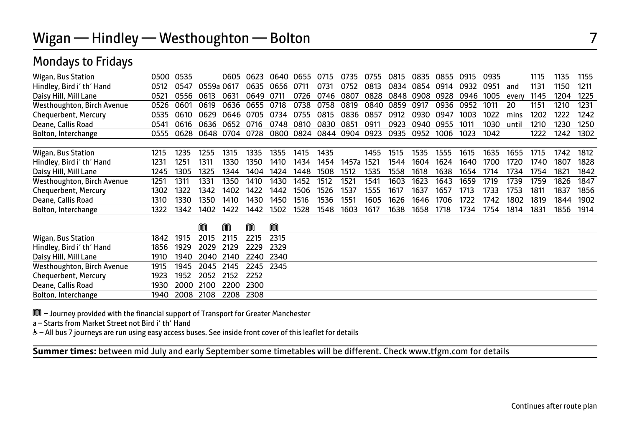# Wigan — Hindley — Westhoughton — Bolton 7

### Mondays to Fridays

| Wigan, Bus Station         | 0500 | 0535 |       | 0605 | 0623  | 0640. | 0655 | 0715 | 0735      | 0755 | 0815 | 0835 | 0855 | 0915 | 0935 |       | 1115 | 1135 | 1155 |
|----------------------------|------|------|-------|------|-------|-------|------|------|-----------|------|------|------|------|------|------|-------|------|------|------|
| Hindley, Bird i' th' Hand  | 0512 | 0547 | 0559a | 0617 | 0635  | 0656  | 0711 | 0731 | 0752      | 0813 | 0834 | 0854 | 0914 | 0932 | 0951 | and   | 1131 | 1150 | 1211 |
| Daisy Hill, Mill Lane      | 0521 | 0556 | 0613  | 0631 | 0649  | 0711  | 0726 | 0746 | 0807      | 0828 | 0848 | 0908 | 0928 | 0946 | 1005 | every | 1145 | 1204 | 1225 |
| Westhoughton, Birch Avenue | 0526 | 0601 | 0619  | 0636 | 0655  | 0718  | 0738 | 0758 | 0819      | 0840 | 0859 | 0917 | 0936 | 0952 | 1011 | 20    | 1151 | 1210 | 1231 |
| Chequerbent, Mercury       | 0535 | 0610 | 0629  | 0646 | 0705  | 0734  | 0755 | 0815 | 0836      | 0857 | 0912 | 0930 | 0947 | 1003 | 1022 | mins  | 1202 | 1222 | 1242 |
| Deane, Callis Road         | 0541 | 0616 | กราร  | 0652 | 0716  | 0748  | 0810 | 0830 | 0851      | 0911 | 0923 | 0940 | 0955 | 1011 | 1030 | until | 1210 | 1230 | 1250 |
| Bolton, Interchange        | 0555 | 0628 | 0648  | 0704 | 0728  | 0800  | 0824 |      | 0844 0904 | 0923 | 0935 | 0952 | 1006 | 1023 | 1042 |       | 1222 | 1242 | 1302 |
|                            |      |      |       |      |       |       |      |      |           |      |      |      |      |      |      |       |      |      |      |
| Wigan, Bus Station         | 1215 | 1235 | 1255  | 1315 | 1335  | 1355  | 1415 | 1435 |           | 1455 | 1515 | 1535 | 1555 | 1615 | 1635 | 1655  | 1715 | 1742 | 1812 |
| Hindley, Bird i' th' Hand  | 1231 | 1251 | 1311  | 1330 | 1350. | 1410  | 1434 | 1454 | 1457а     | 1521 | 1544 | 1604 | 1624 | 1640 | 1700 | 1720  | 1740 | 1807 | 1828 |
| Daisy Hill, Mill Lane      | 1245 | 1305 | 1325  | 1344 | 1404  | 1424  | 1448 | 1508 | 1512      | 1535 | 1558 | 1618 | 1638 | 1654 | 1714 | 1734  | 1754 | 1821 | 1842 |
| Westhoughton, Birch Avenue | 1251 | 1311 | 1331  | 1350 | 1410  | 1430  | 1452 | 1512 | 1521      | 1541 | 1603 | 1623 | 1643 | 1659 | 1719 | 1739  | 1759 | 1826 | 1847 |
| Chequerbent, Mercury       | 1302 | 1322 | 1342  | 1402 | 1422  | 1442  | 1506 | 1526 | 1537      | 1555 | 1617 | 1637 | 1657 | 1713 | 1733 | 1753  | 1811 | 1837 | 1856 |
| Deane, Callis Road         | 1310 | 1330 | 1350  | 1410 | 1430  | 1450  | 1516 | 1536 | 1551      | 1605 | 1626 | 1646 | 1706 | 1722 | 1742 | 1802  | 1819 | 1844 | 1902 |
| Bolton, Interchange        | 1322 | 1342 | 1402  | 1422 | 1442  | 1502  | 1528 | 1548 | 1603      | 1617 | 1638 | 1658 | 1718 | 1734 | 1754 | 1814  | 1831 | 1856 | 1914 |
|                            |      |      |       |      |       |       |      |      |           |      |      |      |      |      |      |       |      |      |      |

|                            |                          | M | M |                               |  |
|----------------------------|--------------------------|---|---|-------------------------------|--|
| Wigan, Bus Station         |                          |   |   | 1842 1915 2015 2115 2215 2315 |  |
| Hindley, Bird i' th' Hand  |                          |   |   | 1856 1929 2029 2129 2229 2329 |  |
| Daisy Hill, Mill Lane      |                          |   |   | 1910 1940 2040 2140 2240 2340 |  |
| Westhoughton, Birch Avenue |                          |   |   | 1915 1945 2045 2145 2245 2345 |  |
| Chequerbent, Mercury       | 1923 1952 2052 2152 2252 |   |   |                               |  |
| Deane, Callis Road         | 1930 2000 2100 2200 2300 |   |   |                               |  |
| Bolton, Interchange        | 1940 2008 2108 2208 2308 |   |   |                               |  |

M – Journey provided with the financial support of Transport for Greater Manchester

a – Starts from Market Street not Bird i' th' Hand

& - All bus 7 journeys are run using easy access buses. See inside front cover of this leaflet for details

 $\overline{a}$ **Summer times:** between mid July and early September some timetables will be different. Check www.tfgm.com for details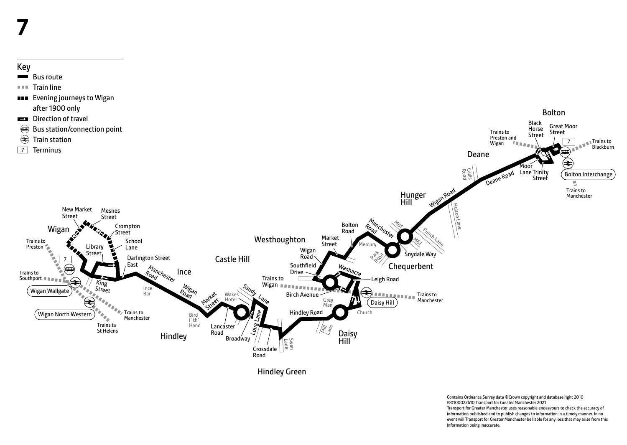# Key

Bus route

 $T = T$ Train line

**EVENING IS A THE EVENING ION CONTROL** after 1900 only

Wigan North Western

 $(\blacktriangleleft)$ 

Wigan Wallgate



Hindley

Bird i' th' Hand

 $W_{ig_{d\eta}}$ <sup>LO<sub>ad</sub></sup>

Ince Bar

Trains to Manchester

Trains to St Helens

King Street

> Crossdale Road

Sandy Lane

 $\epsilon$ 

Lancaster Road

Market Street

Wake Hotel

**Broadway** 

Hindley Green

Lane Swan

Wigan **Wigan** 

Birch Avenue

Hindley Road

Contains Ordnance Survey data ©Crown copyright and database right 2010 ©0100022610 Transport for Greater Manchester 2021 Transport for Greater Manchester uses reasonable endeavours to check the accuracy of information published and to publish changes to information in a timely manner. In no event will Transport for Greater Manchester be liable for any loss that may arise from this information being inaccurate.

Bolton Interchange

Trains to Manchester

ø

**Trains to** Blackburn

Black Horse Street

Lane Trinity Street

1oo

Deane

Road Callis

Trains to Preston and Wigan

Deane Road

Jiton Lane

Trains to Manchester Great Moor Street

7

≠

Bolton

 $\tilde{\phantom{a}}$ Daisy Hill $\tilde{\phantom{a}}$ 

**RESERVE** 

Church

ਵੇ

Daisy Hill

Mill Lane

Grey  $M_a$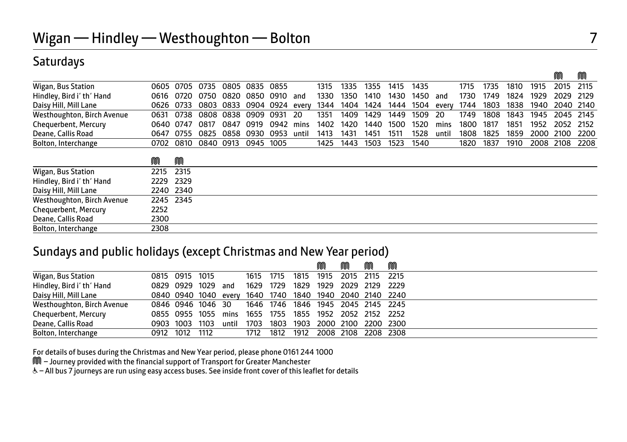## Saturdays

|                            |           |      |      |      |      |           |       |      |      |      |      |      |       |      |      |      |      | M         | M    |
|----------------------------|-----------|------|------|------|------|-----------|-------|------|------|------|------|------|-------|------|------|------|------|-----------|------|
| Wigan, Bus Station         | 0605      | 0705 | 0735 | 0805 | 0835 | 0855      |       | 1315 | 1335 | 1355 | 1415 | 1435 |       | 1715 | 1735 | 1810 | 1915 | 2015      | 2115 |
| Hindley, Bird i' th' Hand  | 0616      | 0720 | 0750 | 0820 | 0850 | 0910      | and   | 1330 | 1350 | 1410 | 1430 | 1450 | and   | 1730 | 1749 | 1824 | 1929 | 2029      | 2129 |
| Daisy Hill, Mill Lane      | 0626      | 0733 | 0803 | 0833 |      | 0904 0924 | every | 1344 | 1404 | 1424 | 1444 | 1504 | every | 1744 | 1803 | 1838 | 1940 | 2040 2140 |      |
| Westhoughton, Birch Avenue | 0631      | 0738 | 0808 | 0838 | 0909 | 0931      | 20    | 1351 | 1409 | 1429 | 1449 | 1509 | 20    | 1749 | 1808 | 1843 | 1945 | 2045      | 2145 |
| Chequerbent, Mercury       | 0640      | 0747 | 0817 | 0847 | 0919 | 0942      | mins  | 1402 | 1420 | 1440 | 1500 | 1520 | mins  | 1800 | 1817 | 1851 | 1952 | 2052      | 2152 |
| Deane, Callis Road         | 0647      | 0755 | 0825 | 0858 | 0930 | 0953      | until | 1413 | 1431 | 1451 | 1511 | 1528 | until | 1808 | 1825 | 1859 | 2000 | 2100      | 2200 |
| Bolton, Interchange        | 0702      | 0810 | 0840 | 0913 | 0945 | 1005      |       | 1425 | 1443 | 1503 | 1523 | 1540 |       | 1820 | 1837 | 1910 | 2008 | 2108      | 2208 |
|                            | M         | M    |      |      |      |           |       |      |      |      |      |      |       |      |      |      |      |           |      |
| Wigan, Bus Station         | 2215      | 2315 |      |      |      |           |       |      |      |      |      |      |       |      |      |      |      |           |      |
| Hindley, Bird i' th' Hand  | 2229      | 2329 |      |      |      |           |       |      |      |      |      |      |       |      |      |      |      |           |      |
| Daisy Hill, Mill Lane      | 2240      | 2340 |      |      |      |           |       |      |      |      |      |      |       |      |      |      |      |           |      |
| Westhoughton, Birch Avenue | 2245 2345 |      |      |      |      |           |       |      |      |      |      |      |       |      |      |      |      |           |      |
| Chequerbent, Mercury       | 2252      |      |      |      |      |           |       |      |      |      |      |      |       |      |      |      |      |           |      |
| Deane, Callis Road         | 2300      |      |      |      |      |           |       |      |      |      |      |      |       |      |      |      |      |           |      |
| Bolton, Interchange        | 2308      |      |      |      |      |           |       |      |      |      |      |      |       |      |      |      |      |           |      |

### Sundays and public holidays (except Christmas and New Year period)

|                            |                      |       |           |      |                                    | M                   | M                   | M | M |  |
|----------------------------|----------------------|-------|-----------|------|------------------------------------|---------------------|---------------------|---|---|--|
| Wigan, Bus Station         | 0815 0915 1015       |       | 1615 1715 |      | 1815                               | 1915                | 2015 2115 2215      |   |   |  |
| Hindley, Bird i' th' Hand  | 0829 0929 1029       | and   | 1629 1729 |      | 1829                               | 1929 2029 2129 2229 |                     |   |   |  |
| Daisy Hill, Mill Lane      | 0840 0940 1040 every |       |           |      | 1640 1740 1840 1940 2040 2140 2240 |                     |                     |   |   |  |
| Westhoughton, Birch Avenue | 0846 0946 1046 30    |       |           |      | 1646 1746 1846 1945 2045 2145 2245 |                     |                     |   |   |  |
| Chequerbent, Mercury       | 0855 0955 1055 mins  |       |           |      | 1655 1755 1855 1952 2052 2152 2252 |                     |                     |   |   |  |
| Deane, Callis Road         | 0903 1003 1103       | until | 1703      | 1803 | 1903 2000 2100 2200 2300           |                     |                     |   |   |  |
| Bolton, Interchange        | 0912 1012 1112       |       | 1712      | 1812 | 1912                               |                     | 2008 2108 2208 2308 |   |   |  |

For details of buses during the Christmas and New Year period, please phone 0161 244 1000

M – Journey provided with the financial support of Transport for Greater Manchester

& - All bus 7 journeys are run using easy access buses. See inside front cover of this leaflet for details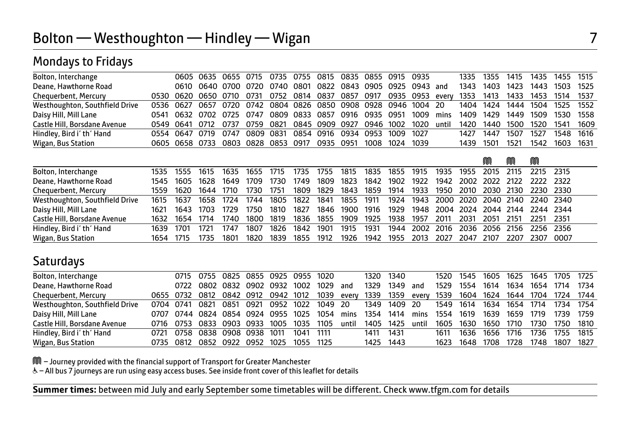### Mondays to Fridays

| Bolton, Interchange            |  | 0605 0635 0655 0715 0735 0755 0815 0835 0855 0915 0935            |  |  |  |                          |      |           | 1335 1355 | 1415 |           | 1435 1455 1515                |        |
|--------------------------------|--|-------------------------------------------------------------------|--|--|--|--------------------------|------|-----------|-----------|------|-----------|-------------------------------|--------|
| Deane, Hawthorne Road          |  | 0610 0640 0700 0720 0740 0801 0822 0843 0905 0925 0943 and        |  |  |  |                          |      | 1343      | 1403      | 1423 |           | 1443 1503 1525                |        |
| Chequerbent, Mercury           |  | 0530 0620 0650 0710 0731 0752 0814 0837 0857 0917 0935 0953 every |  |  |  |                          |      | 1353      | 1413      |      |           | 1433 1453 1514 1537           |        |
| Westhoughton, Southfield Drive |  | 0536 0627 0657 0720 0742 0804 0826 0850 0908 0928 0946 1004 20    |  |  |  |                          |      |           |           |      |           | 1404 1424 1444 1504 1525 1552 |        |
| Daisy Hill, Mill Lane          |  | 0541 0632 0702 0725 0747 0809 0833 0857 0916 0935 0951 1009       |  |  |  |                          | mins |           | 1409 1429 |      | 1449 1509 | 1530 1558                     |        |
| Castle Hill, Borsdane Avenue   |  | 0549 0641 0712 0737 0759 0821 0845 0909 0927 0946 1002 1020 until |  |  |  |                          |      | 1420      | 1440      | 1500 | 1520      | 1541                          | - 1609 |
| Hindley, Bird i' th' Hand      |  | 0554 0647 0719 0747 0809 0831 0854 0916 0934 0953 1009 1027       |  |  |  |                          |      | 1427      | 1447      | 1507 | 1527      | 1548 1616                     |        |
| Wigan, Bus Station             |  | 0605 0658 0733 0803 0828 0853 0917                                |  |  |  | 0935 0951 1008 1024 1039 |      | 1439 1501 |           | 1521 |           | 1542 1603 1631                |        |
|                                |  |                                                                   |  |  |  |                          |      |           |           |      |           |                               |        |
|                                |  |                                                                   |  |  |  |                          |      |           | M         | M    | M         |                               |        |

| Bolton, Interchange            |           | 1535 1555 |                     | 1615 1635 | 1655 1715 |      | 1735      |      |           | 1755 1815 1835 1855 1915                                    |  |           |  | 1935 1955 2015 2115 2215 2315 |  |
|--------------------------------|-----------|-----------|---------------------|-----------|-----------|------|-----------|------|-----------|-------------------------------------------------------------|--|-----------|--|-------------------------------|--|
| Deane, Hawthorne Road          |           | 1545 1605 | $-1628$             | 1649 1709 |           | 1730 | 1749      |      |           | 1809 1823 1842 1902 1922 1942 2002 2022 2122 2222 2322      |  |           |  |                               |  |
| Chequerbent, Mercury           |           | 1559 1620 | 1644 1710           |           | 1730      | 1751 |           |      |           | 1809 1829 1843 1859 1914 1933 1950 2010 2030 2130 2230 2330 |  |           |  |                               |  |
| Westhoughton, Southfield Drive |           | 1615 1637 | 1658 1724           |           | 1744      | 1805 | 1822      |      |           | 1841 1855 1911 1924 1943 2000 2020 2040 2140 2240 2340      |  |           |  |                               |  |
| Daisy Hill, Mill Lane          | 1621      |           | 1643 1703           | 1729      | 1750      | 1810 | 1827      |      |           | 1846 1900 1916 1929 1948 2004 2024 2044 2144 2244 2344      |  |           |  |                               |  |
| Castle Hill, Borsdane Avenue   |           |           | 1632 1654 1714 1740 |           | 1800      |      | 1819 1836 |      |           | 1855 1909 1925 1938 1957 2011 2031 2051 2151 2251 2351      |  |           |  |                               |  |
| Hindley, Bird i' th' Hand      |           | 1639 1701 | 1721                | 1747      | 1807      | 1826 | 1842      | 1901 | 1915 1931 | 1944 2002 2016 2036 2056 2156 2256 2356                     |  |           |  |                               |  |
| Wigan, Bus Station             | 1654 1715 |           | 1735                | 1801      | 1820      | 1839 | 1855      | 1912 |           | 1926 1942 1955 2013 2027                                    |  | 2047 2107 |  | 2207 2307 0007                |  |

### **Saturdays**

| Bolton, Interchange            |      | 0715 0755 0825 0855 0925 0955 1020                                                               |  |      |           |      |       |           | 1320 1340    |       |                          |      |      |      |        | 1520 1545 1605 1625 1645 1705 1725 |  |
|--------------------------------|------|--------------------------------------------------------------------------------------------------|--|------|-----------|------|-------|-----------|--------------|-------|--------------------------|------|------|------|--------|------------------------------------|--|
| Deane, Hawthorne Road          |      | 0722 0802 0832 0902 0932                                                                         |  |      | 1002      | 1029 | and   |           | 1329 1349    | and   | 1529                     | 1554 | 1614 | 1634 | 1654   | 1714 1734                          |  |
| Chequerbent, Mercury           |      | 0655 0732 0812 0842 0912 0942 1012 1039 every 1339 1359 every 1539 1604 1624 1644 1704 1724 1744 |  |      |           |      |       |           |              |       |                          |      |      |      |        |                                    |  |
| Westhoughton, Southfield Drive |      | 0704 0741 0821 0851 0921 0952 1022 1049 20                                                       |  |      |           |      |       |           | 1349 1409 20 |       | 1549 1614 1634 1654 1714 |      |      |      |        | 1734 1754                          |  |
| Daisy Hill, Mill Lane          |      | 0707 0744 0824 0854 0924 0955 1025                                                               |  |      |           | 1054 | mins  | 1354 1414 |              | mins  | 1554 1619                |      | 1639 | 1659 | - 1719 | 1739 1759                          |  |
| Castle Hill, Borsdane Avenue   |      | 0716 0753 0833 0903 0933 1005                                                                    |  |      | 1035      | 1105 | until |           | 1405 1425    | until | 1605                     | 1630 | 1650 | 1710 | 1730   | 1750 1810                          |  |
| Hindley, Bird i' th' Hand      | 0721 | 0758 0838 0908 0938                                                                              |  | 1011 | 1041      | 1111 |       | 1411      | 1431         |       | 1611                     | 1636 | 1656 | 1716 | 1736   | 1755 1815                          |  |
| Wigan, Bus Station             |      | 0735 0812 0852 0922 0952 1025                                                                    |  |      | 1055 1125 |      |       |           | 1425 1443    |       | 1623                     | 1648 | 1708 | 1728 | 1748   | 1807 1827                          |  |

M – Journey provided with the financial support of Transport for Greater Manchester

& - All bus 7 journeys are run using easy access buses. See inside front cover of this leaflet for details

**Summer times:** between mid July and early September some timetables will be different. Check www.tfgm.com for details